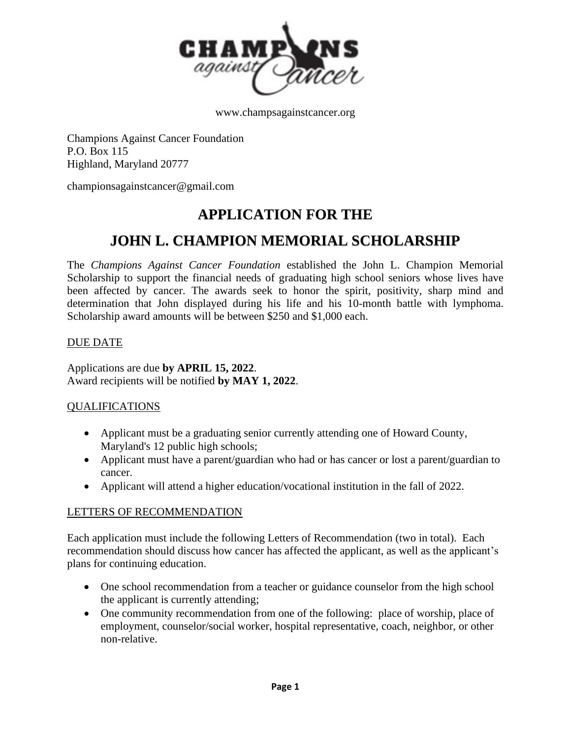

www.champsagainstcancer.org

Champions Against Cancer Foundation P.O. Box 115 Highland, Maryland 20777

championsagainstcancer@gmail.com

# **APPLICATION FOR THE**

# **JOHN L. CHAMPION MEMORIAL SCHOLARSHIP**

The *Champions Against Cancer Foundation* established the John L. Champion Memorial Scholarship to support the financial needs of graduating high school seniors whose lives have been affected by cancer. The awards seek to honor the spirit, positivity, sharp mind and determination that John displayed during his life and his 10-month battle with lymphoma. Scholarship award amounts will be between \$250 and \$1,000 each.

#### DUE DATE

Applications are due **by APRIL 15, 2022**. Award recipients will be notified **by MAY 1, 2022**.

#### QUALIFICATIONS

- Applicant must be a graduating senior currently attending one of Howard County, Maryland's 12 public high schools;
- Applicant must have a parent/guardian who had or has cancer or lost a parent/guardian to cancer.
- Applicant will attend a higher education/vocational institution in the fall of 2022.

#### LETTERS OF RECOMMENDATION

Each application must include the following Letters of Recommendation (two in total). Each recommendation should discuss how cancer has affected the applicant, as well as the applicant's plans for continuing education.

- One school recommendation from a teacher or guidance counselor from the high school the applicant is currently attending;
- One community recommendation from one of the following: place of worship, place of employment, counselor/social worker, hospital representative, coach, neighbor, or other non-relative.